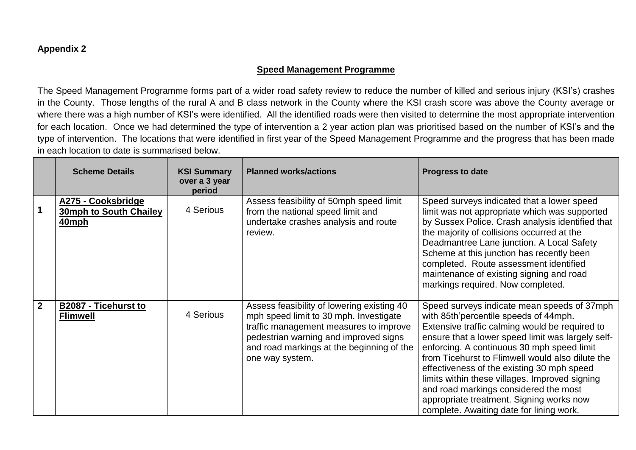## **Appendix 2**

## **Speed Management Programme**

The Speed Management Programme forms part of a wider road safety review to reduce the number of killed and serious injury (KSI's) crashes in the County. Those lengths of the rural A and B class network in the County where the KSI crash score was above the County average or where there was a high number of KSI's were identified. All the identified roads were then visited to determine the most appropriate intervention for each location. Once we had determined the type of intervention a 2 year action plan was prioritised based on the number of KSI's and the type of intervention. The locations that were identified in first year of the Speed Management Programme and the progress that has been made in each location to date is summarised below.

|              | <b>Scheme Details</b>                                 | <b>KSI Summary</b><br>over a 3 year<br>period | <b>Planned works/actions</b>                                                                                                                                                                                                            | <b>Progress to date</b>                                                                                                                                                                                                                                                                                                                                                                                                                                                                                                        |
|--------------|-------------------------------------------------------|-----------------------------------------------|-----------------------------------------------------------------------------------------------------------------------------------------------------------------------------------------------------------------------------------------|--------------------------------------------------------------------------------------------------------------------------------------------------------------------------------------------------------------------------------------------------------------------------------------------------------------------------------------------------------------------------------------------------------------------------------------------------------------------------------------------------------------------------------|
|              | A275 - Cooksbridge<br>30mph to South Chailey<br>40mph | 4 Serious                                     | Assess feasibility of 50mph speed limit<br>from the national speed limit and<br>undertake crashes analysis and route<br>review.                                                                                                         | Speed surveys indicated that a lower speed<br>limit was not appropriate which was supported<br>by Sussex Police. Crash analysis identified that<br>the majority of collisions occurred at the<br>Deadmantree Lane junction. A Local Safety<br>Scheme at this junction has recently been<br>completed. Route assessment identified<br>maintenance of existing signing and road<br>markings required. Now completed.                                                                                                             |
| $\mathbf{2}$ | B2087 - Ticehurst to<br><b>Flimwell</b>               | 4 Serious                                     | Assess feasibility of lowering existing 40<br>mph speed limit to 30 mph. Investigate<br>traffic management measures to improve<br>pedestrian warning and improved signs<br>and road markings at the beginning of the<br>one way system. | Speed surveys indicate mean speeds of 37mph<br>with 85th'percentile speeds of 44mph.<br>Extensive traffic calming would be required to<br>ensure that a lower speed limit was largely self-<br>enforcing. A continuous 30 mph speed limit<br>from Ticehurst to Flimwell would also dilute the<br>effectiveness of the existing 30 mph speed<br>limits within these villages. Improved signing<br>and road markings considered the most<br>appropriate treatment. Signing works now<br>complete. Awaiting date for lining work. |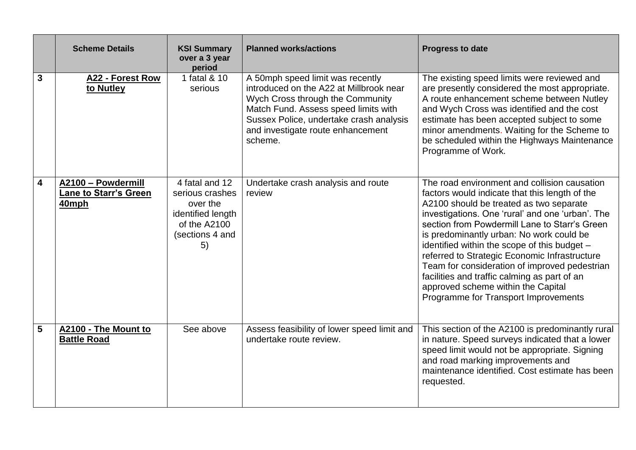|   | <b>Scheme Details</b>                                       | <b>KSI Summary</b><br>over a 3 year<br>period                                                               | <b>Planned works/actions</b>                                                                                                                                                                                                                       | <b>Progress to date</b>                                                                                                                                                                                                                                                                                                                                                                                                                                                                                                                                                    |
|---|-------------------------------------------------------------|-------------------------------------------------------------------------------------------------------------|----------------------------------------------------------------------------------------------------------------------------------------------------------------------------------------------------------------------------------------------------|----------------------------------------------------------------------------------------------------------------------------------------------------------------------------------------------------------------------------------------------------------------------------------------------------------------------------------------------------------------------------------------------------------------------------------------------------------------------------------------------------------------------------------------------------------------------------|
| 3 | A22 - Forest Row<br>to Nutley                               | 1 fatal & 10<br>serious                                                                                     | A 50mph speed limit was recently<br>introduced on the A22 at Millbrook near<br>Wych Cross through the Community<br>Match Fund. Assess speed limits with<br>Sussex Police, undertake crash analysis<br>and investigate route enhancement<br>scheme. | The existing speed limits were reviewed and<br>are presently considered the most appropriate.<br>A route enhancement scheme between Nutley<br>and Wych Cross was identified and the cost<br>estimate has been accepted subject to some<br>minor amendments. Waiting for the Scheme to<br>be scheduled within the Highways Maintenance<br>Programme of Work.                                                                                                                                                                                                                |
| 4 | A2100 - Powdermill<br><b>Lane to Starr's Green</b><br>40mph | 4 fatal and 12<br>serious crashes<br>over the<br>identified length<br>of the A2100<br>(sections 4 and<br>5) | Undertake crash analysis and route<br>review                                                                                                                                                                                                       | The road environment and collision causation<br>factors would indicate that this length of the<br>A2100 should be treated as two separate<br>investigations. One 'rural' and one 'urban'. The<br>section from Powdermill Lane to Starr's Green<br>is predominantly urban: No work could be<br>identified within the scope of this budget -<br>referred to Strategic Economic Infrastructure<br>Team for consideration of improved pedestrian<br>facilities and traffic calming as part of an<br>approved scheme within the Capital<br>Programme for Transport Improvements |
| 5 | A2100 - The Mount to<br><b>Battle Road</b>                  | See above                                                                                                   | Assess feasibility of lower speed limit and<br>undertake route review.                                                                                                                                                                             | This section of the A2100 is predominantly rural<br>in nature. Speed surveys indicated that a lower<br>speed limit would not be appropriate. Signing<br>and road marking improvements and<br>maintenance identified. Cost estimate has been<br>requested.                                                                                                                                                                                                                                                                                                                  |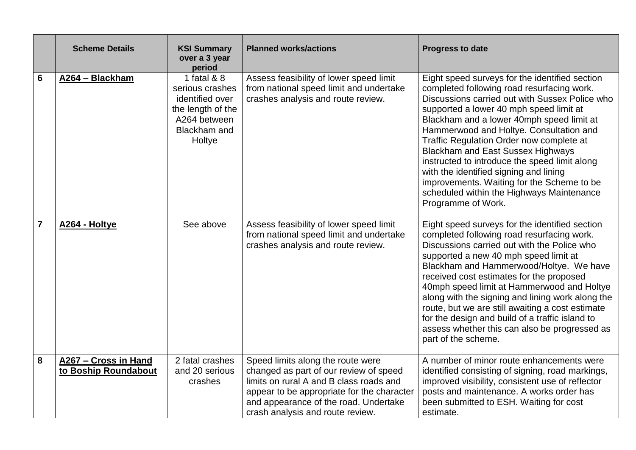|                | <b>Scheme Details</b>                        | <b>KSI Summary</b><br>over a 3 year<br>period                                                                    | <b>Planned works/actions</b>                                                                                                                                                                                                                      | <b>Progress to date</b>                                                                                                                                                                                                                                                                                                                                                                                                                                                                                                                                                               |
|----------------|----------------------------------------------|------------------------------------------------------------------------------------------------------------------|---------------------------------------------------------------------------------------------------------------------------------------------------------------------------------------------------------------------------------------------------|---------------------------------------------------------------------------------------------------------------------------------------------------------------------------------------------------------------------------------------------------------------------------------------------------------------------------------------------------------------------------------------------------------------------------------------------------------------------------------------------------------------------------------------------------------------------------------------|
| $6\phantom{1}$ | A264 - Blackham                              | 1 fatal & 8<br>serious crashes<br>identified over<br>the length of the<br>A264 between<br>Blackham and<br>Holtye | Assess feasibility of lower speed limit<br>from national speed limit and undertake<br>crashes analysis and route review.                                                                                                                          | Eight speed surveys for the identified section<br>completed following road resurfacing work.<br>Discussions carried out with Sussex Police who<br>supported a lower 40 mph speed limit at<br>Blackham and a lower 40mph speed limit at<br>Hammerwood and Holtye. Consultation and<br>Traffic Regulation Order now complete at<br><b>Blackham and East Sussex Highways</b><br>instructed to introduce the speed limit along<br>with the identified signing and lining<br>improvements. Waiting for the Scheme to be<br>scheduled within the Highways Maintenance<br>Programme of Work. |
| $\overline{7}$ | A264 - Holtye                                | See above                                                                                                        | Assess feasibility of lower speed limit<br>from national speed limit and undertake<br>crashes analysis and route review.                                                                                                                          | Eight speed surveys for the identified section<br>completed following road resurfacing work.<br>Discussions carried out with the Police who<br>supported a new 40 mph speed limit at<br>Blackham and Hammerwood/Holtye. We have<br>received cost estimates for the proposed<br>40mph speed limit at Hammerwood and Holtye<br>along with the signing and lining work along the<br>route, but we are still awaiting a cost estimate<br>for the design and build of a traffic island to<br>assess whether this can also be progressed as<br>part of the scheme.                          |
| 8              | A267 - Cross in Hand<br>to Boship Roundabout | 2 fatal crashes<br>and 20 serious<br>crashes                                                                     | Speed limits along the route were<br>changed as part of our review of speed<br>limits on rural A and B class roads and<br>appear to be appropriate for the character<br>and appearance of the road. Undertake<br>crash analysis and route review. | A number of minor route enhancements were<br>identified consisting of signing, road markings,<br>improved visibility, consistent use of reflector<br>posts and maintenance. A works order has<br>been submitted to ESH. Waiting for cost<br>estimate.                                                                                                                                                                                                                                                                                                                                 |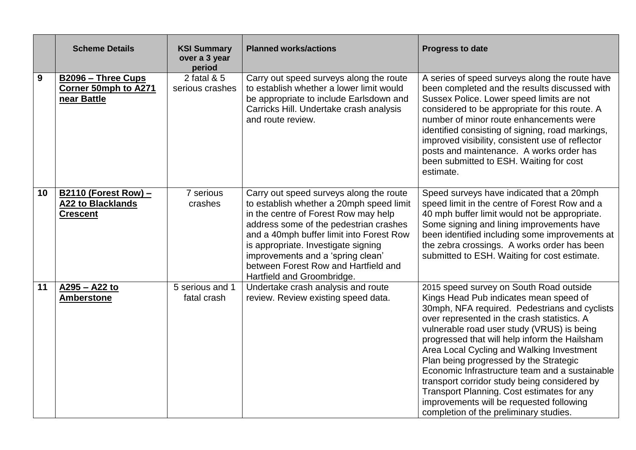|    | <b>Scheme Details</b>                                                      | <b>KSI Summary</b><br>over a 3 year<br>period | <b>Planned works/actions</b>                                                                                                                                                                                                                                                                                                                                        | <b>Progress to date</b>                                                                                                                                                                                                                                                                                                                                                                                                                                                                                                                                                                                       |
|----|----------------------------------------------------------------------------|-----------------------------------------------|---------------------------------------------------------------------------------------------------------------------------------------------------------------------------------------------------------------------------------------------------------------------------------------------------------------------------------------------------------------------|---------------------------------------------------------------------------------------------------------------------------------------------------------------------------------------------------------------------------------------------------------------------------------------------------------------------------------------------------------------------------------------------------------------------------------------------------------------------------------------------------------------------------------------------------------------------------------------------------------------|
| 9  | B2096 - Three Cups<br>Corner 50mph to A271<br>near Battle                  | 2 fatal & 5<br>serious crashes                | Carry out speed surveys along the route<br>to establish whether a lower limit would<br>be appropriate to include Earlsdown and<br>Carricks Hill. Undertake crash analysis<br>and route review.                                                                                                                                                                      | A series of speed surveys along the route have<br>been completed and the results discussed with<br>Sussex Police. Lower speed limits are not<br>considered to be appropriate for this route. A<br>number of minor route enhancements were<br>identified consisting of signing, road markings,<br>improved visibility, consistent use of reflector<br>posts and maintenance. A works order has<br>been submitted to ESH. Waiting for cost<br>estimate.                                                                                                                                                         |
| 10 | <b>B2110 (Forest Row) -</b><br><b>A22 to Blacklands</b><br><b>Crescent</b> | 7 serious<br>crashes                          | Carry out speed surveys along the route<br>to establish whether a 20mph speed limit<br>in the centre of Forest Row may help<br>address some of the pedestrian crashes<br>and a 40mph buffer limit into Forest Row<br>is appropriate. Investigate signing<br>improvements and a 'spring clean'<br>between Forest Row and Hartfield and<br>Hartfield and Groombridge. | Speed surveys have indicated that a 20mph<br>speed limit in the centre of Forest Row and a<br>40 mph buffer limit would not be appropriate.<br>Some signing and lining improvements have<br>been identified including some improvements at<br>the zebra crossings. A works order has been<br>submitted to ESH. Waiting for cost estimate.                                                                                                                                                                                                                                                                     |
| 11 | A295 - A22 to<br><b>Amberstone</b>                                         | 5 serious and 1<br>fatal crash                | Undertake crash analysis and route<br>review. Review existing speed data.                                                                                                                                                                                                                                                                                           | 2015 speed survey on South Road outside<br>Kings Head Pub indicates mean speed of<br>30mph, NFA required. Pedestrians and cyclists<br>over represented in the crash statistics. A<br>vulnerable road user study (VRUS) is being<br>progressed that will help inform the Hailsham<br>Area Local Cycling and Walking Investment<br>Plan being progressed by the Strategic<br>Economic Infrastructure team and a sustainable<br>transport corridor study being considered by<br>Transport Planning. Cost estimates for any<br>improvements will be requested following<br>completion of the preliminary studies. |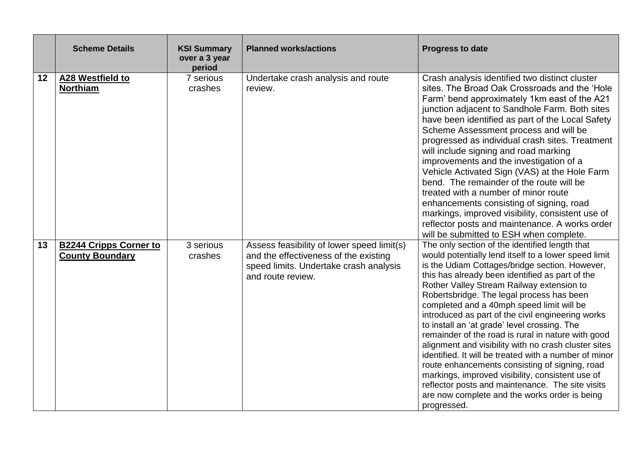|    | <b>Scheme Details</b>                                   | <b>KSI Summary</b><br>over a 3 year<br>period | <b>Planned works/actions</b>                                                                                                                       | <b>Progress to date</b>                                                                                                                                                                                                                                                                                                                                                                                                                                                                                                                                                                                                                                                                                                                                                                                                                                  |
|----|---------------------------------------------------------|-----------------------------------------------|----------------------------------------------------------------------------------------------------------------------------------------------------|----------------------------------------------------------------------------------------------------------------------------------------------------------------------------------------------------------------------------------------------------------------------------------------------------------------------------------------------------------------------------------------------------------------------------------------------------------------------------------------------------------------------------------------------------------------------------------------------------------------------------------------------------------------------------------------------------------------------------------------------------------------------------------------------------------------------------------------------------------|
| 12 | A28 Westfield to<br><b>Northiam</b>                     | 7 serious<br>crashes                          | Undertake crash analysis and route<br>review.                                                                                                      | Crash analysis identified two distinct cluster<br>sites. The Broad Oak Crossroads and the 'Hole<br>Farm' bend approximately 1km east of the A21<br>junction adjacent to Sandhole Farm. Both sites<br>have been identified as part of the Local Safety<br>Scheme Assessment process and will be<br>progressed as individual crash sites. Treatment<br>will include signing and road marking<br>improvements and the investigation of a<br>Vehicle Activated Sign (VAS) at the Hole Farm<br>bend. The remainder of the route will be<br>treated with a number of minor route<br>enhancements consisting of signing, road<br>markings, improved visibility, consistent use of<br>reflector posts and maintenance. A works order<br>will be submitted to ESH when complete.                                                                                  |
| 13 | <b>B2244 Cripps Corner to</b><br><b>County Boundary</b> | 3 serious<br>crashes                          | Assess feasibility of lower speed limit(s)<br>and the effectiveness of the existing<br>speed limits. Undertake crash analysis<br>and route review. | The only section of the identified length that<br>would potentially lend itself to a lower speed limit<br>is the Udiam Cottages/bridge section. However,<br>this has already been identified as part of the<br>Rother Valley Stream Railway extension to<br>Robertsbridge. The legal process has been<br>completed and a 40mph speed limit will be<br>introduced as part of the civil engineering works<br>to install an 'at grade' level crossing. The<br>remainder of the road is rural in nature with good<br>alignment and visibility with no crash cluster sites<br>identified. It will be treated with a number of minor<br>route enhancements consisting of signing, road<br>markings, improved visibility, consistent use of<br>reflector posts and maintenance. The site visits<br>are now complete and the works order is being<br>progressed. |